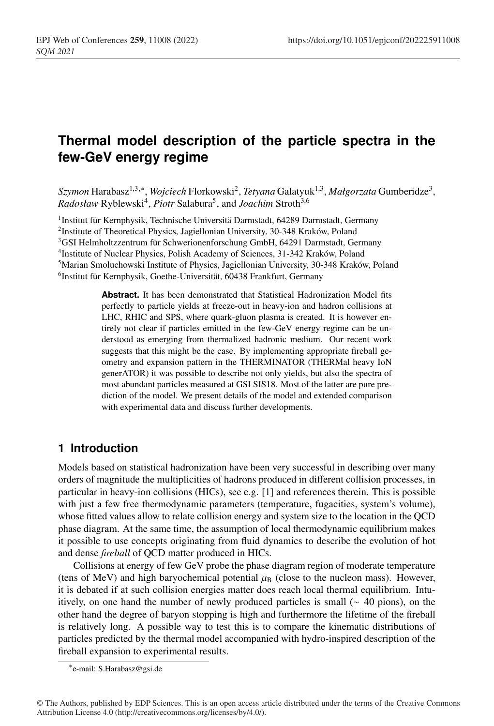# **Thermal model description of the particle spectra in the few-GeV energy regime**

*Szymon* Harabasz1,3,∗, *Wojciech* Florkowski2, *Tetyana* Galatyuk1,3, *Małgorzata* Gumberidze3,  $Radosław Ryblewski<sup>4</sup>, *Piotr* Salabura<sup>5</sup>, and *Joachim* Stroth<sup>3,6</sup>$ 

1Institut für Kernphysik, Technische Universitä Darmstadt, 64289 Darmstadt, Germany 2Institute of Theoretical Physics, Jagiellonian University, 30-348 Kraków, Poland 3GSI Helmholtzzentrum für Schwerionenforschung GmbH, 64291 Darmstadt, Germany 4Institute of Nuclear Physics, Polish Academy of Sciences, 31-342 Kraków, Poland 5Marian Smoluchowski Institute of Physics, Jagiellonian University, 30-348 Kraków, Poland 6Institut für Kernphysik, Goethe-Universität, 60438 Frankfurt, Germany

> **Abstract.** It has been demonstrated that Statistical Hadronization Model fits perfectly to particle yields at freeze-out in heavy-ion and hadron collisions at LHC, RHIC and SPS, where quark-gluon plasma is created. It is however entirely not clear if particles emitted in the few-GeV energy regime can be understood as emerging from thermalized hadronic medium. Our recent work suggests that this might be the case. By implementing appropriate fireball geometry and expansion pattern in the THERMINATOR (THERMal heavy IoN generATOR) it was possible to describe not only yields, but also the spectra of most abundant particles measured at GSI SIS18. Most of the latter are pure prediction of the model. We present details of the model and extended comparison with experimental data and discuss further developments.

## **1 Introduction**

Models based on statistical hadronization have been very successful in describing over many orders of magnitude the multiplicities of hadrons produced in different collision processes, in particular in heavy-ion collisions (HICs), see e.g. [1] and references therein. This is possible with just a few free thermodynamic parameters (temperature, fugacities, system's volume), whose fitted values allow to relate collision energy and system size to the location in the QCD phase diagram. At the same time, the assumption of local thermodynamic equilibrium makes it possible to use concepts originating from fluid dynamics to describe the evolution of hot and dense *fireball* of QCD matter produced in HICs.

Collisions at energy of few GeV probe the phase diagram region of moderate temperature (tens of MeV) and high baryochemical potential  $\mu_B$  (close to the nucleon mass). However, it is debated if at such collision energies matter does reach local thermal equilibrium. Intuitively, on one hand the number of newly produced particles is small (∼ 40 pions), on the other hand the degree of baryon stopping is high and furthermore the lifetime of the fireball is relatively long. A possible way to test this is to compare the kinematic distributions of particles predicted by the thermal model accompanied with hydro-inspired description of the fireball expansion to experimental results.

<sup>∗</sup>e-mail: S.Harabasz@gsi.de

<sup>©</sup> The Authors, published by EDP Sciences. This is an open access article distributed under the terms of the Creative Commons Attribution License 4.0 (http://creativecommons.org/licenses/by/4.0/).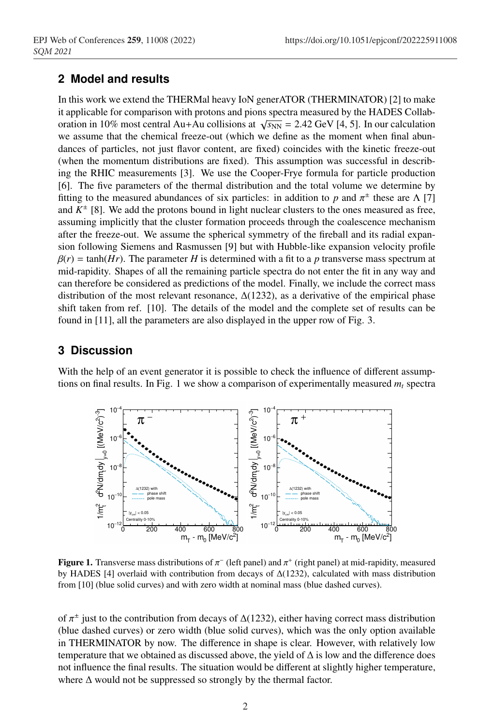### **2 Model and results**

In this work we extend the THERMal heavy IoN generATOR (THERMINATOR) [2] to make it applicable for comparison with protons and pions spectra measured by the HADES Collaboration in 10% most central Au+Au collisions at  $\sqrt{s_{NN}}$  = 2.42 GeV [4, 5]. In our calculation we assume that the chemical freeze-out (which we define as the moment when final abundances of particles, not just flavor content, are fixed) coincides with the kinetic freeze-out (when the momentum distributions are fixed). This assumption was successful in describing the RHIC measurements [3]. We use the Cooper-Frye formula for particle production [6]. The five parameters of the thermal distribution and the total volume we determine by fitting to the measured abundances of six particles: in addition to *p* and  $\pi^{\pm}$  these are Λ [7] and  $K^{\pm}$  [8]. We add the protons bound in light nuclear clusters to the ones measured as free, assuming implicitly that the cluster formation proceeds through the coalescence mechanism after the freeze-out. We assume the spherical symmetry of the fireball and its radial expansion following Siemens and Rasmussen [9] but with Hubble-like expansion velocity profile  $\beta(r) = \tanh(Hr)$ . The parameter *H* is determined with a fit to a *p* transverse mass spectrum at mid-rapidity. Shapes of all the remaining particle spectra do not enter the fit in any way and can therefore be considered as predictions of the model. Finally, we include the correct mass distribution of the most relevant resonance,  $\Delta(1232)$ , as a derivative of the empirical phase shift taken from ref. [10]. The details of the model and the complete set of results can be found in [11], all the parameters are also displayed in the upper row of Fig. 3.

### **3 Discussion**

With the help of an event generator it is possible to check the influence of different assumptions on final results. In Fig. 1 we show a comparison of experimentally measured  $m_t$  spectra



**Figure 1.** Transverse mass distributions of  $\pi^-$  (left panel) and  $\pi^+$  (right panel) at mid-rapidity, measured by HADES [4] overlaid with contribution from decays of ∆(1232), calculated with mass distribution from [10] (blue solid curves) and with zero width at nominal mass (blue dashed curves).

of  $\pi^{\pm}$  just to the contribution from decays of  $\Delta(1232)$ , either having correct mass distribution (blue dashed curves) or zero width (blue solid curves), which was the only option available in THERMINATOR by now. The difference in shape is clear. However, with relatively low temperature that we obtained as discussed above, the yield of ∆ is low and the difference does not influence the final results. The situation would be different at slightly higher temperature, where ∆ would not be suppressed so strongly by the thermal factor.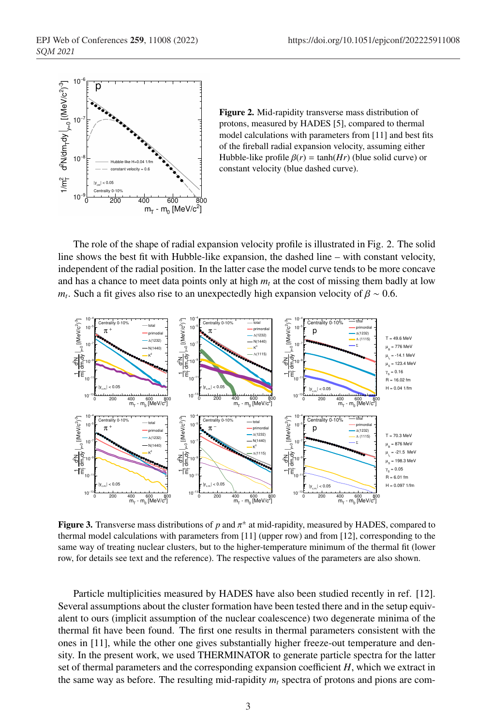

Figure 2. Mid-rapidity transverse mass distribution of protons, measured by HADES [5], compared to thermal model calculations with parameters from [11] and best fits of the fireball radial expansion velocity, assuming either Hubble-like profile  $\beta(r) = \tanh(Hr)$  (blue solid curve) or constant velocity (blue dashed curve).

The role of the shape of radial expansion velocity profile is illustrated in Fig. 2. The solid line shows the best fit with Hubble-like expansion, the dashed line – with constant velocity, independent of the radial position. In the latter case the model curve tends to be more concave and has a chance to meet data points only at high  $m_t$  at the cost of missing them badly at low *m<sub>t</sub>*. Such a fit gives also rise to an unexpectedly high expansion velocity of  $\beta \sim 0.6$ .



**Figure 3.** Transverse mass distributions of p and  $\pi^{\pm}$  at mid-rapidity, measured by HADES, compared to thermal model calculations with parameters from [11] (upper row) and from [12], corresponding to the same way of treating nuclear clusters, but to the higher-temperature minimum of the thermal fit (lower row, for details see text and the reference). The respective values of the parameters are also shown.

Particle multiplicities measured by HADES have also been studied recently in ref. [12]. Several assumptions about the cluster formation have been tested there and in the setup equivalent to ours (implicit assumption of the nuclear coalescence) two degenerate minima of the thermal fit have been found. The first one results in thermal parameters consistent with the ones in [11], while the other one gives substantially higher freeze-out temperature and density. In the present work, we used THERMINATOR to generate particle spectra for the latter set of thermal parameters and the corresponding expansion coefficient *H*, which we extract in the same way as before. The resulting mid-rapidity  $m_t$  spectra of protons and pions are com